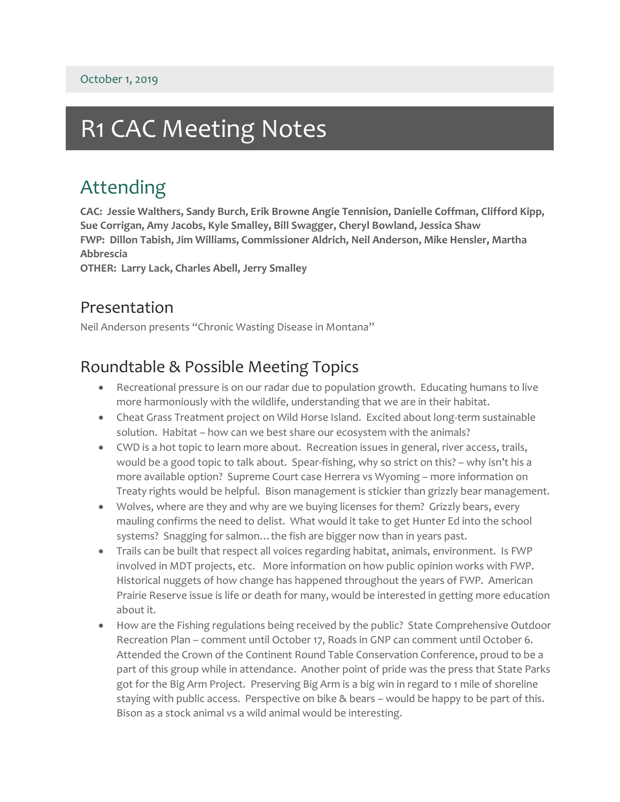## R1 CAC Meeting Notes

## Attending

**CAC: Jessie Walthers, Sandy Burch, Erik Browne Angie Tennision, Danielle Coffman, Clifford Kipp, Sue Corrigan, Amy Jacobs, Kyle Smalley, Bill Swagger, Cheryl Bowland, Jessica Shaw FWP: Dillon Tabish, Jim Williams, Commissioner Aldrich, Neil Anderson, Mike Hensler, Martha Abbrescia**

**OTHER: Larry Lack, Charles Abell, Jerry Smalley**

## Presentation

Neil Anderson presents "Chronic Wasting Disease in Montana"

## Roundtable & Possible Meeting Topics

- Recreational pressure is on our radar due to population growth. Educating humans to live more harmoniously with the wildlife, understanding that we are in their habitat.
- Cheat Grass Treatment project on Wild Horse Island. Excited about long-term sustainable solution. Habitat – how can we best share our ecosystem with the animals?
- CWD is a hot topic to learn more about. Recreation issues in general, river access, trails, would be a good topic to talk about. Spear-fishing, why so strict on this? – why isn't his a more available option? Supreme Court case Herrera vs Wyoming – more information on Treaty rights would be helpful. Bison management is stickier than grizzly bear management.
- Wolves, where are they and why are we buying licenses for them? Grizzly bears, every mauling confirms the need to delist. What would it take to get Hunter Ed into the school systems? Snagging for salmon... the fish are bigger now than in years past.
- Trails can be built that respect all voices regarding habitat, animals, environment. Is FWP involved in MDT projects, etc. More information on how public opinion works with FWP. Historical nuggets of how change has happened throughout the years of FWP. American Prairie Reserve issue is life or death for many, would be interested in getting more education about it.
- How are the Fishing regulations being received by the public? State Comprehensive Outdoor Recreation Plan – comment until October 17, Roads in GNP can comment until October 6. Attended the Crown of the Continent Round Table Conservation Conference, proud to be a part of this group while in attendance. Another point of pride was the press that State Parks got for the Big Arm Project. Preserving Big Arm is a big win in regard to 1 mile of shoreline staying with public access. Perspective on bike & bears – would be happy to be part of this. Bison as a stock animal vs a wild animal would be interesting.